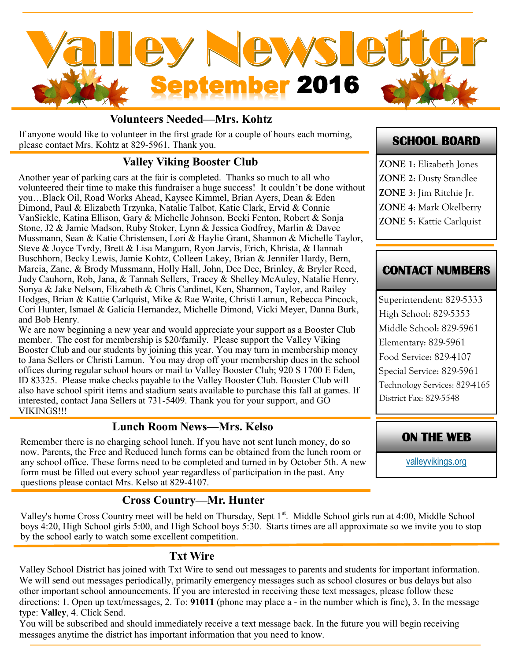

#### **Volunteers Needed—Mrs. Kohtz**

If anyone would like to volunteer in the first grade for a couple of hours each morning, please contact Mrs. Kohtz at 829-5961. Thank you.

### **Valley Viking Booster Club**

Another year of parking cars at the fair is completed. Thanks so much to all who volunteered their time to make this fundraiser a huge success! It couldn't be done without you…Black Oil, Road Works Ahead, Kaysee Kimmel, Brian Ayers, Dean & Eden Dimond, Paul & Elizabeth Trzynka, Natalie Talbot, Katie Clark, Ervid & Connie VanSickle, Katina Ellison, Gary & Michelle Johnson, Becki Fenton, Robert & Sonja Stone, J2 & Jamie Madson, Ruby Stoker, Lynn & Jessica Godfrey, Marlin & Davee Mussmann, Sean & Katie Christensen, Lori & Haylie Grant, Shannon & Michelle Taylor, Steve & Joyce Tvrdy, Brett & Lisa Mangum, Ryon Jarvis, Erich, Khrista, & Hannah Buschhorn, Becky Lewis, Jamie Kohtz, Colleen Lakey, Brian & Jennifer Hardy, Bern, Marcia, Zane, & Brody Mussmann, Holly Hall, John, Dee Dee, Brinley, & Bryler Reed, Judy Cauhorn, Rob, Jana, & Tannah Sellers, Tracey & Shelley McAuley, Natalie Henry, Sonya & Jake Nelson, Elizabeth & Chris Cardinet, Ken, Shannon, Taylor, and Railey Hodges, Brian & Kattie Carlquist, Mike & Rae Waite, Christi Lamun, Rebecca Pincock, Cori Hunter, Ismael & Galicia Hernandez, Michelle Dimond, Vicki Meyer, Danna Burk, and Bob Henry.

We are now beginning a new year and would appreciate your support as a Booster Club member. The cost for membership is \$20/family. Please support the Valley Viking Booster Club and our students by joining this year. You may turn in membership money to Jana Sellers or Christi Lamun. You may drop off your membership dues in the school offices during regular school hours or mail to Valley Booster Club; 920 S 1700 E Eden, ID 83325. Please make checks payable to the Valley Booster Club. Booster Club will also have school spirit items and stadium seats available to purchase this fall at games. If interested, contact Jana Sellers at 731-5409. Thank you for your support, and  $\overline{GO}$ VIKINGS!!!

#### **Lunch Room News—Mrs. Kelso**

Remember there is no charging school lunch. If you have not sent lunch money, do so now. Parents, the Free and Reduced lunch forms can be obtained from the lunch room or any school office. These forms need to be completed and turned in by October 5th. A new form must be filled out every school year regardless of participation in the past. Any questions please contact Mrs. Kelso at 829-4107.

#### **Cross Country—Mr. Hunter**

Valley's home Cross Country meet will be held on Thursday, Sept 1<sup>st</sup>. Middle School girls run at 4:00, Middle School boys 4:20, High School girls 5:00, and High School boys 5:30. Starts times are all approximate so we invite you to stop by the school early to watch some excellent competition.

#### **Txt Wire**

Valley School District has joined with Txt Wire to send out messages to parents and students for important information. We will send out messages periodically, primarily emergency messages such as school closures or bus delays but also other important school announcements. If you are interested in receiving these text messages, please follow these directions: 1. Open up text/messages, 2. To: **91011** (phone may place a - in the number which is fine), 3. In the message type: **Valley**, 4. Click Send.

You will be subscribed and should immediately receive a text message back. In the future you will begin receiving messages anytime the district has important information that you need to know.

## **SCHOOL BOARD**

**ZONE 1**: Elizabeth Jones **ZONE 2**: Dusty Standlee **ZONE 3**: Jim Ritchie Jr. **ZONE 4**: Mark Okelberry **ZONE 5**: Kattie Carlquist

### **CONTACT NUMBERS**

Superintendent: 829-5333 High School: 829-5353 Middle School: 829-5961 Elementary: 829-5961 Food Service: 829-4107 Special Service: 829-5961 Technology Services: 829-4165 District Fax: 829-5548

### **ON THE WEB**

[valleyvikings.org](http://www.valleyvikings.org/)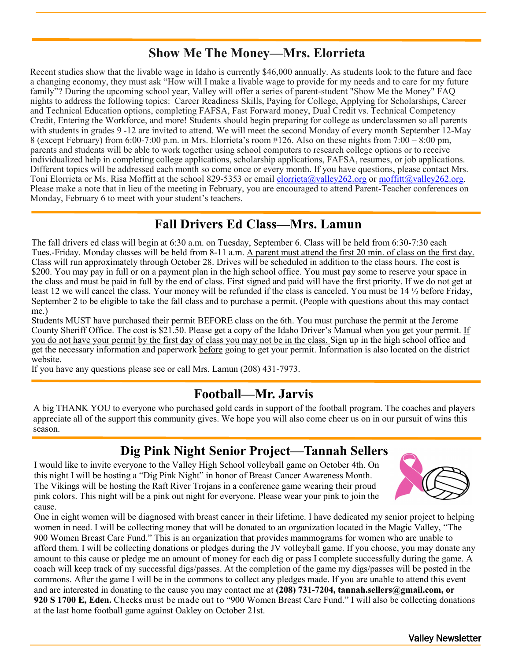# **Show Me The Money—Mrs. Elorrieta**

Recent studies show that the livable wage in Idaho is currently \$46,000 annually. As students look to the future and face a changing economy, they must ask "How will I make a livable wage to provide for my needs and to care for my future family"? During the upcoming school year, Valley will offer a series of parent-student "Show Me the Money" FAQ nights to address the following topics: Career Readiness Skills, Paying for College, Applying for Scholarships, Career and Technical Education options, completing FAFSA, Fast Forward money, Dual Credit vs. Technical Competency Credit, Entering the Workforce, and more! Students should begin preparing for college as underclassmen so all parents with students in grades 9 -12 are invited to attend. We will meet the second Monday of every month September 12-May 8 (except February) from 6:00-7:00 p.m. in Mrs. Elorrieta's room #126. Also on these nights from 7:00 – 8:00 pm, parents and students will be able to work together using school computers to research college options or to receive individualized help in completing college applications, scholarship applications, FAFSA, resumes, or job applications. Different topics will be addressed each month so come once or every month. If you have questions, please contact Mrs. Toni Elorrieta or Ms. Risa Moffitt at the school 829-5353 or email [elorrieta@valley262.org](mailto:elorrieta@valley262.org) or [moffitt@valley262.org.](mailto:moffitt@valley262.org) Please make a note that in lieu of the meeting in February, you are encouraged to attend Parent-Teacher conferences on Monday, February 6 to meet with your student's teachers.

## **Fall Drivers Ed Class—Mrs. Lamun**

The fall drivers ed class will begin at 6:30 a.m. on Tuesday, September 6. Class will be held from 6:30-7:30 each Tues.-Friday. Monday classes will be held from 8-11 a.m. A parent must attend the first 20 min. of class on the first day. Class will run approximately through October 28. Drives will be scheduled in addition to the class hours. The cost is \$200. You may pay in full or on a payment plan in the high school office. You must pay some to reserve your space in the class and must be paid in full by the end of class. First signed and paid will have the first priority. If we do not get at least 12 we will cancel the class. Your money will be refunded if the class is canceled. You must be 14 ½ before Friday, September 2 to be eligible to take the fall class and to purchase a permit. (People with questions about this may contact me.)

Students MUST have purchased their permit BEFORE class on the 6th. You must purchase the permit at the Jerome County Sheriff Office. The cost is \$21.50. Please get a copy of the Idaho Driver's Manual when you get your permit. If you do not have your permit by the first day of class you may not be in the class. Sign up in the high school office and get the necessary information and paperwork before going to get your permit. Information is also located on the district website.

If you have any questions please see or call Mrs. Lamun (208) 431-7973.

# **Football—Mr. Jarvis**

A big THANK YOU to everyone who purchased gold cards in support of the football program. The coaches and players appreciate all of the support this community gives. We hope you will also come cheer us on in our pursuit of wins this season.

# **Dig Pink Night Senior Project—Tannah Sellers**

I would like to invite everyone to the Valley High School volleyball game on October 4th. On this night I will be hosting a "Dig Pink Night" in honor of Breast Cancer Awareness Month. The Vikings will be hosting the Raft River Trojans in a conference game wearing their proud pink colors. This night will be a pink out night for everyone. Please wear your pink to join the cause.



One in eight women will be diagnosed with breast cancer in their lifetime. I have dedicated my senior project to helping women in need. I will be collecting money that will be donated to an organization located in the Magic Valley, "The 900 Women Breast Care Fund." This is an organization that provides mammograms for women who are unable to afford them. I will be collecting donations or pledges during the JV volleyball game. If you choose, you may donate any amount to this cause or pledge me an amount of money for each dig or pass I complete successfully during the game. A coach will keep track of my successful digs/passes. At the completion of the game my digs/passes will be posted in the commons. After the game I will be in the commons to collect any pledges made. If you are unable to attend this event and are interested in donating to the cause you may contact me at **(208) 731-7204, tannah.sellers@gmail.com, or 920 S 1700 E, Eden.** Checks must be made out to "900 Women Breast Care Fund." I will also be collecting donations at the last home football game against Oakley on October 21st.